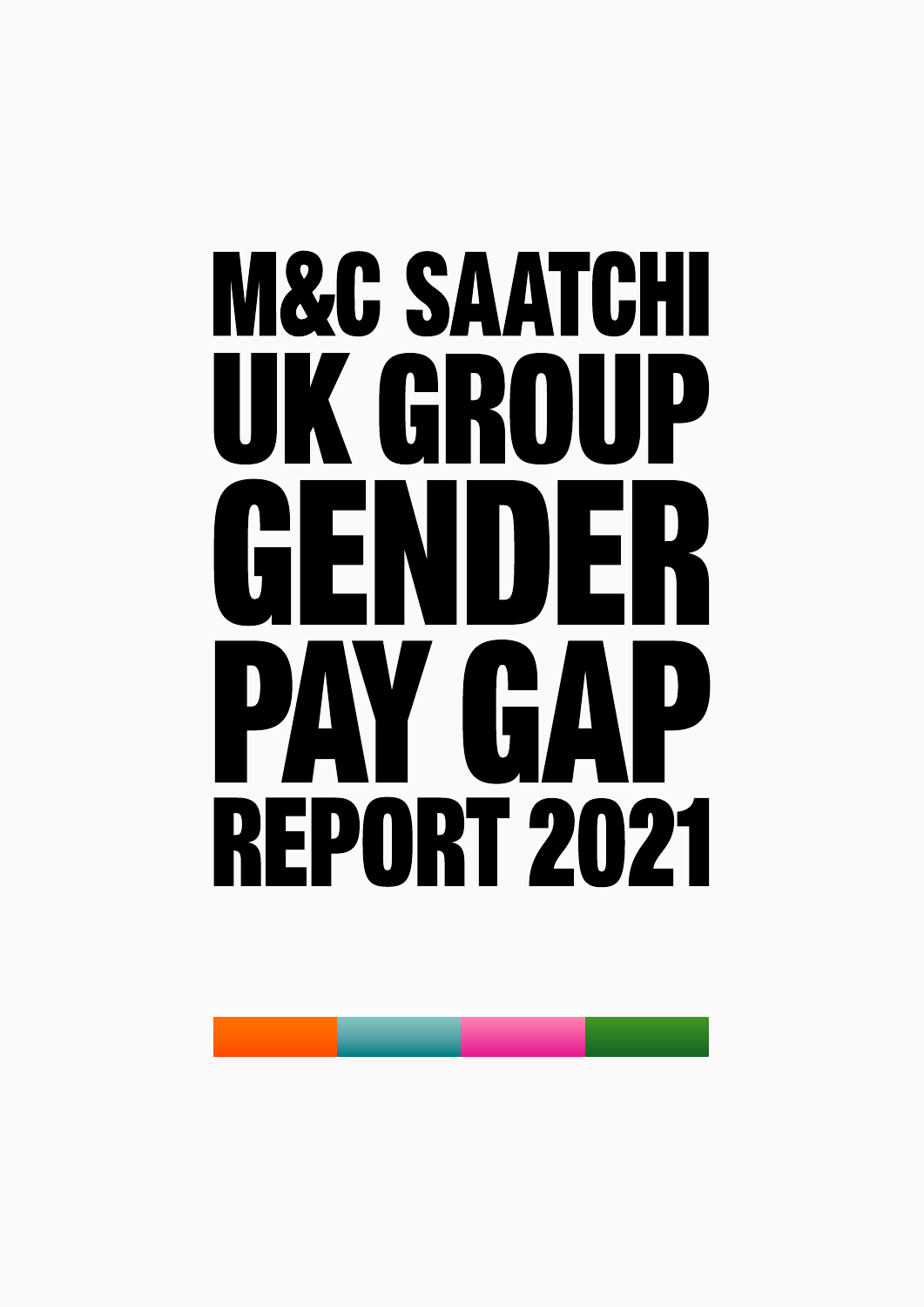# **M&C SAATCHI** UK GROUP GENDER PAY GAP **REPORT 2021**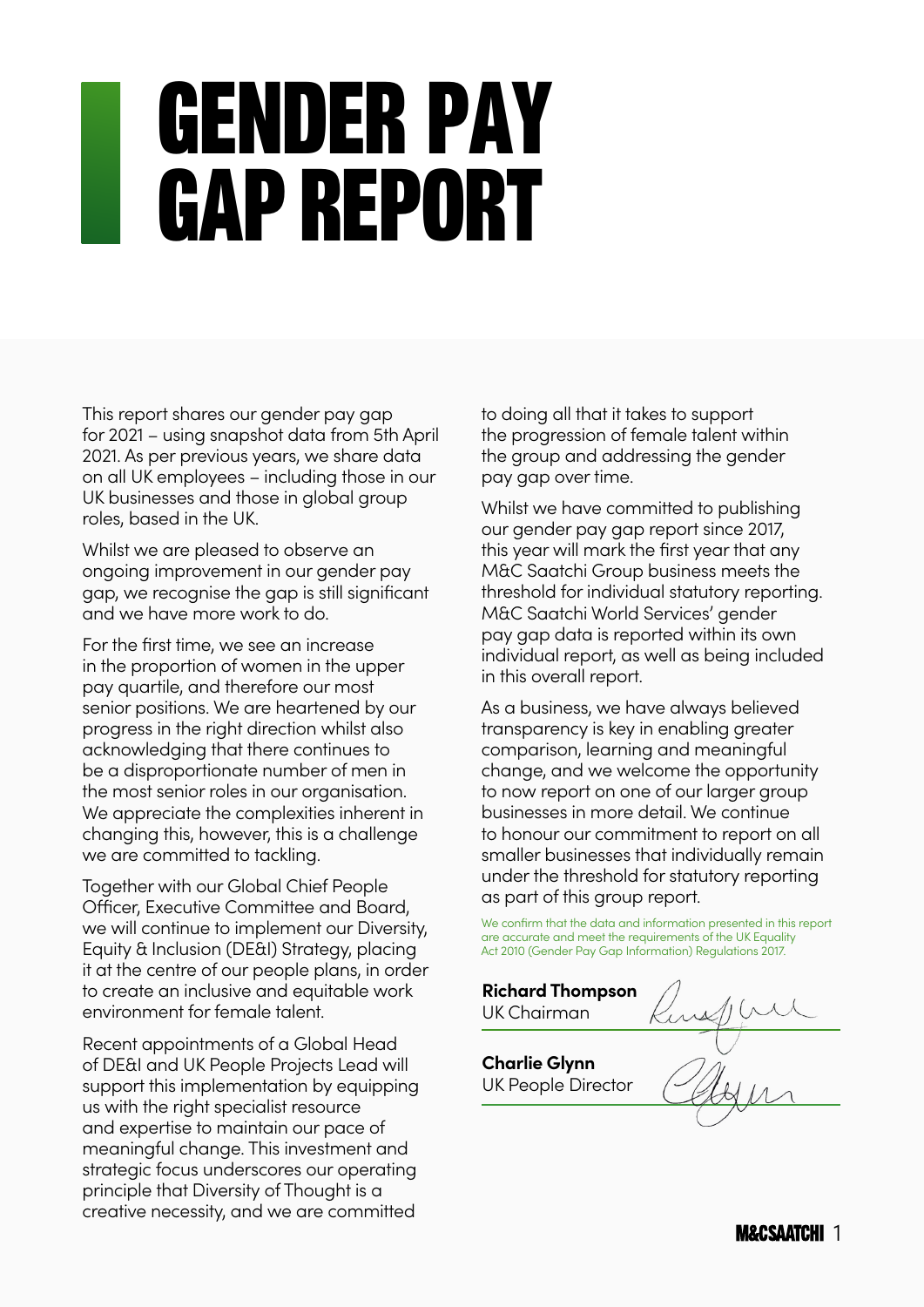## Gender pay gap report

This report shares our gender pay gap for 2021 – using snapshot data from 5th April 2021. As per previous years, we share data on all UK employees – including those in our UK businesses and those in global group roles, based in the UK.

Whilst we are pleased to observe an ongoing improvement in our gender pay gap, we recognise the gap is still significant and we have more work to do.

For the first time, we see an increase in the proportion of women in the upper pay quartile, and therefore our most senior positions. We are heartened by our progress in the right direction whilst also acknowledging that there continues to be a disproportionate number of men in the most senior roles in our organisation. We appreciate the complexities inherent in changing this, however, this is a challenge we are committed to tackling.

Together with our Global Chief People Officer, Executive Committee and Board, we will continue to implement our Diversity, Equity & Inclusion (DE&I) Strategy, placing it at the centre of our people plans, in order to create an inclusive and equitable work environment for female talent.

Recent appointments of a Global Head of DE&I and UK People Projects Lead will support this implementation by equipping us with the right specialist resource and expertise to maintain our pace of meaningful change. This investment and strategic focus underscores our operating principle that Diversity of Thought is a creative necessity, and we are committed

to doing all that it takes to support the progression of female talent within the group and addressing the gender pay gap over time.

Whilst we have committed to publishing our gender pay gap report since 2017, this year will mark the first year that any M&C Saatchi Group business meets the threshold for individual statutory reporting. M&C Saatchi World Services' gender pay gap data is reported within its own individual report, as well as being included in this overall report.

As a business, we have always believed transparency is key in enabling greater comparison, learning and meaningful change, and we welcome the opportunity to now report on one of our larger group businesses in more detail. We continue to honour our commitment to report on all smaller businesses that individually remain under the threshold for statutory reporting as part of this group report.

We confirm that the data and information presented in this report are accurate and meet the requirements of the UK Equality Act 2010 (Gender Pay Gap Information) Regulations 2017.

**Richard Thompson** UK Chairman**Charlie Glynn** UK People Director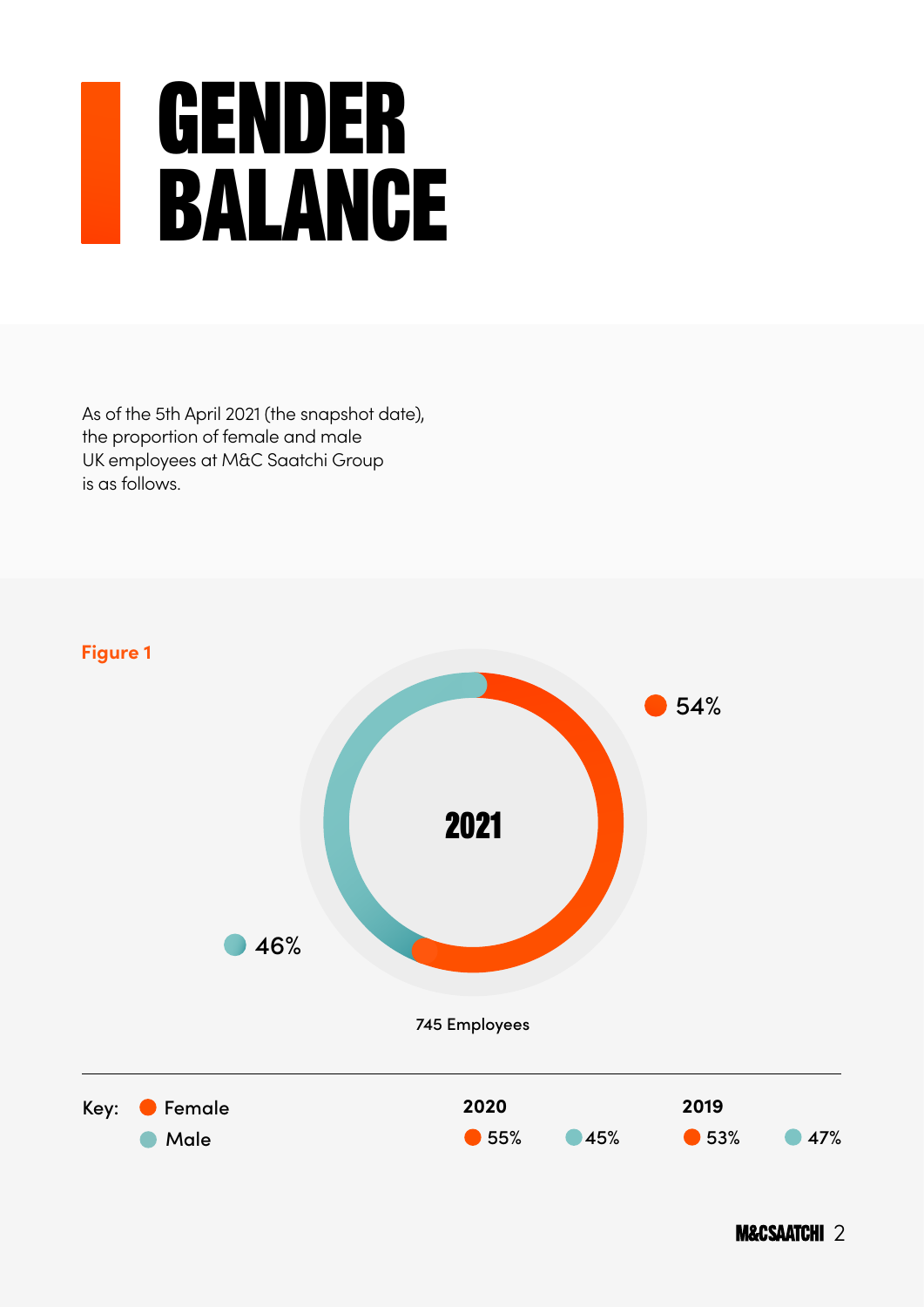#### Gender balance

As of the 5th April 2021 (the snapshot date), the proportion of female and male UK employees at M&C Saatchi Group is as follows.

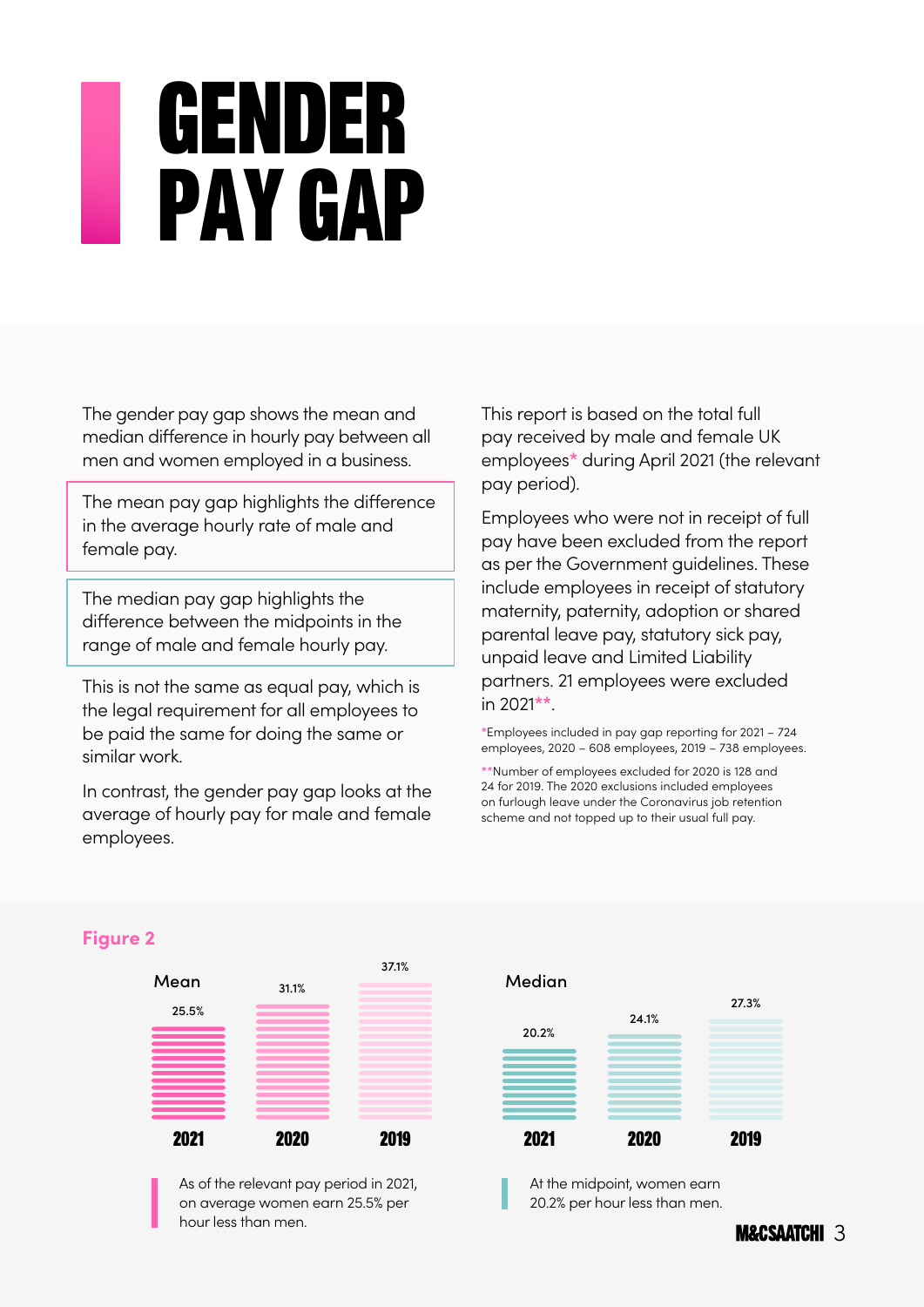### Genderpay gap

The gender pay gap shows the mean and median difference in hourly pay between all men and women employed in a business.

The mean pay gap highlights the difference in the average hourly rate of male and female pay.

The median pay gap highlights the difference between the midpoints in the range of male and female hourly pay.

This is not the same as equal pay, which is the legal requirement for all employees to be paid the same for doing the same or similar work.

In contrast, the gender pay gap looks at the average of hourly pay for male and female employees.

This report is based on the total full pay received by male and female UK employees**\*** during April 2021 (the relevant pay period).

Employees who were not in receipt of full pay have been excluded from the report as per the Government guidelines. These include employees in receipt of statutory maternity, paternity, adoption or shared parental leave pay, statutory sick pay, unpaid leave and Limited Liability partners. 21 employees were excluded in 2021**\*\***.

**\***Employees included in pay gap reporting for 2021 – 724 employees, 2020 – 608 employees, 2019 – 738 employees.

**\*\***Number of employees excluded for 2020 is 128 and 24 for 2019. The 2020 exclusions included employees on furlough leave under the Coronavirus job retention scheme and not topped up to their usual full pay.



#### **Figure 2**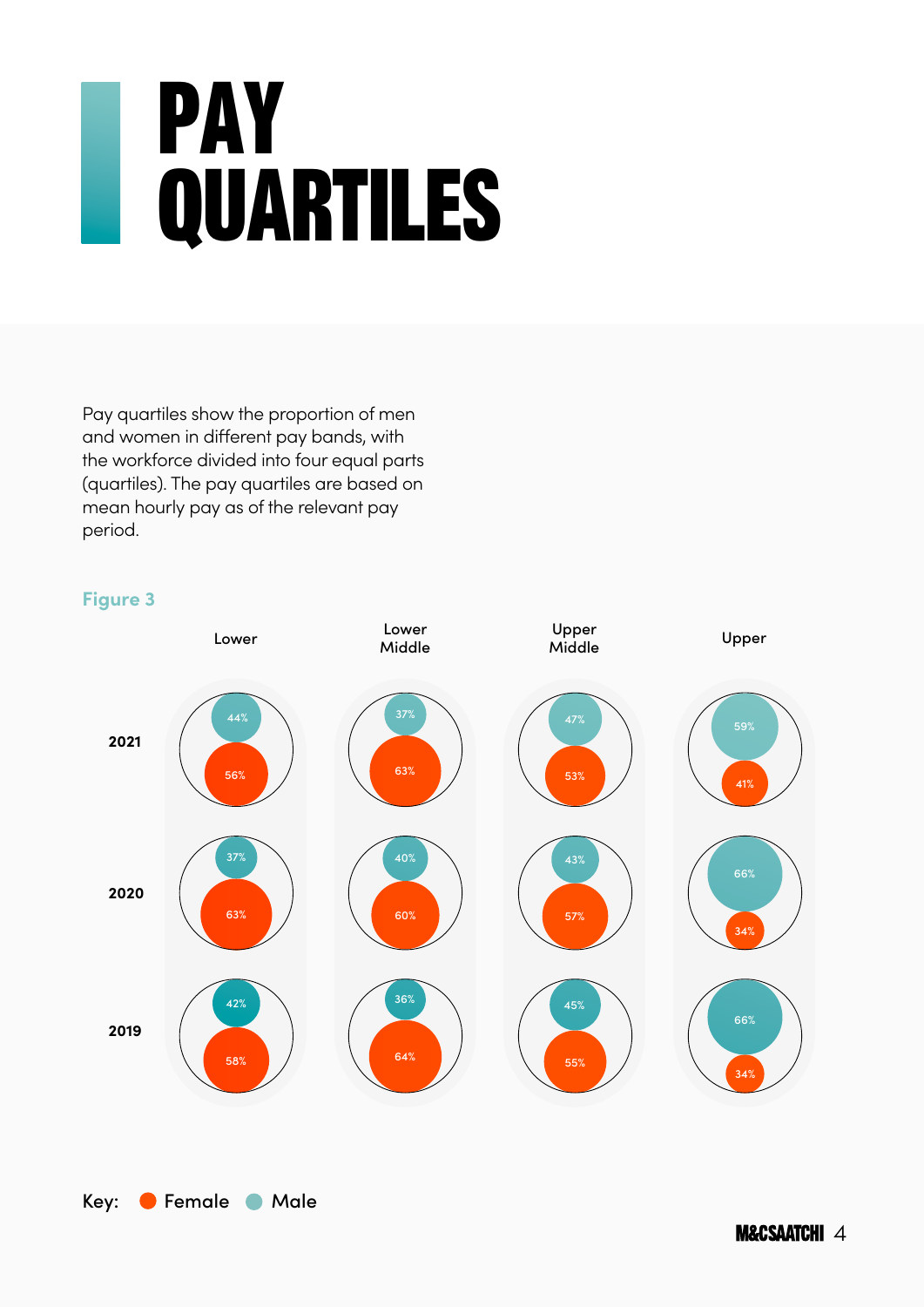## Pay QUARTILES

Pay quartiles show the proportion of men and women in different pay bands, with the workforce divided into four equal parts (quartiles). The pay quartiles are based on mean hourly pay as of the relevant pay period.

#### **Figure 3**



Key: Female Male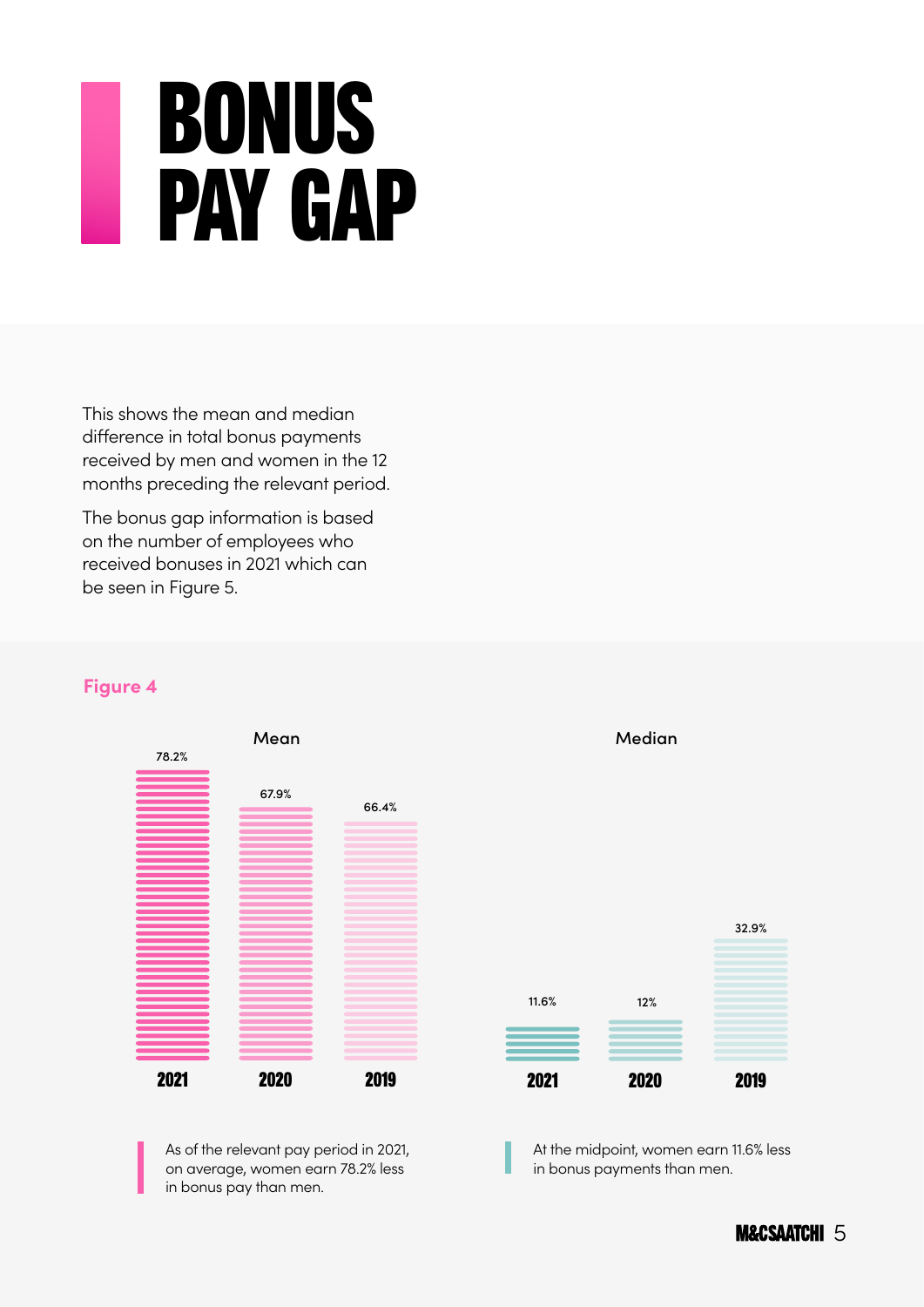## BONUS **PAY GAP**

This shows the mean and median difference in total bonus payments received by men and women in the 12 months preceding the relevant period.

The bonus gap information is based on the number of employees who received bonuses in 2021 which can be seen in Figure 5.

#### **Figure 4**



As of the relevant pay period in 2021, on average, women earn 78.2% less in bonus pay than men.



Median

At the midpoint, women earn 11.6% less in bonus payments than men.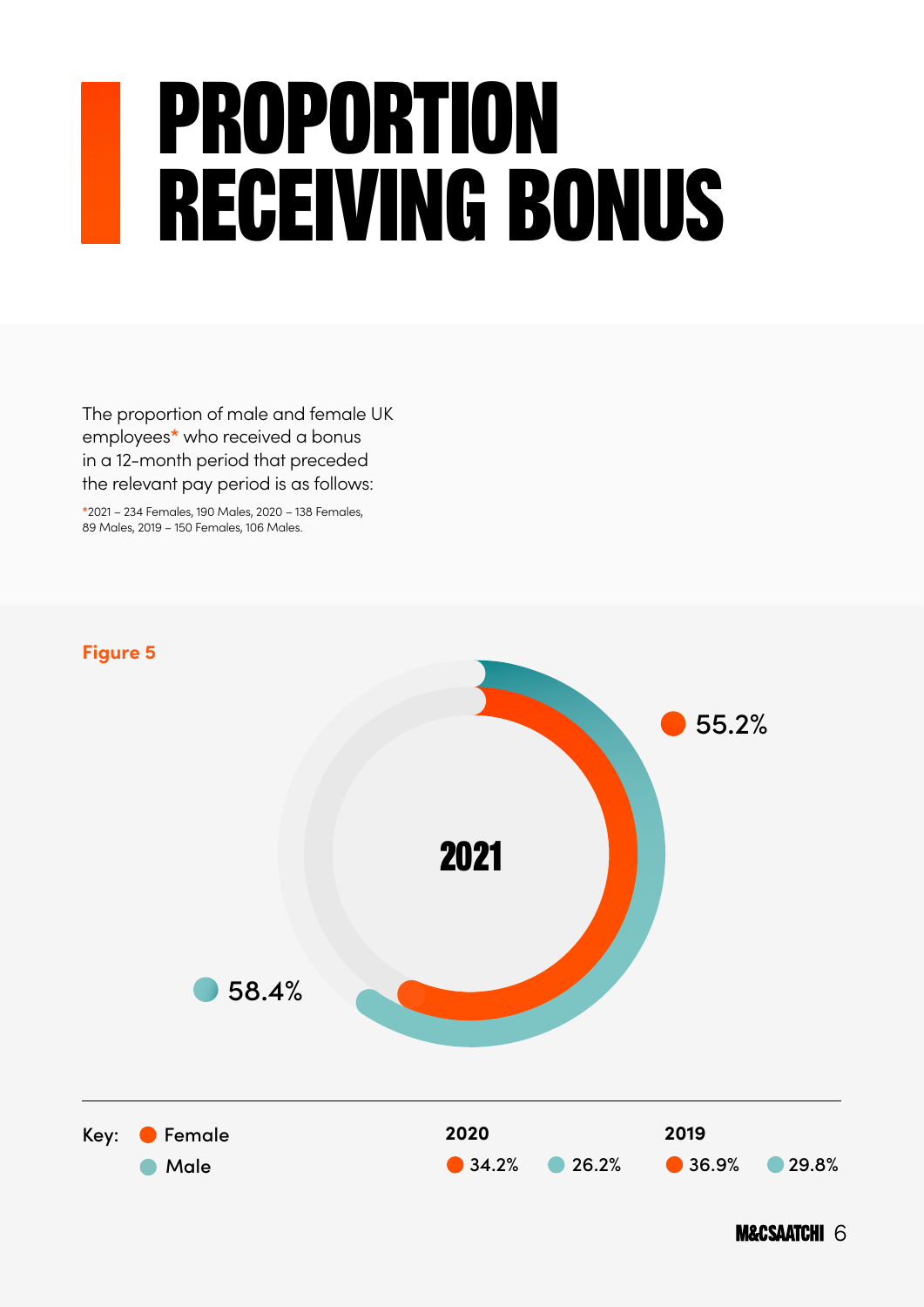## Proportion Receiving Bonus

The proportion of male and female UK employees**\*** who received a bonus in a 12-month period that preceded the relevant pay period is as follows:

**\***2021 – 234 Females, 190 Males, 2020 – 138 Females, 89 Males, 2019 – 150 Females, 106 Males.

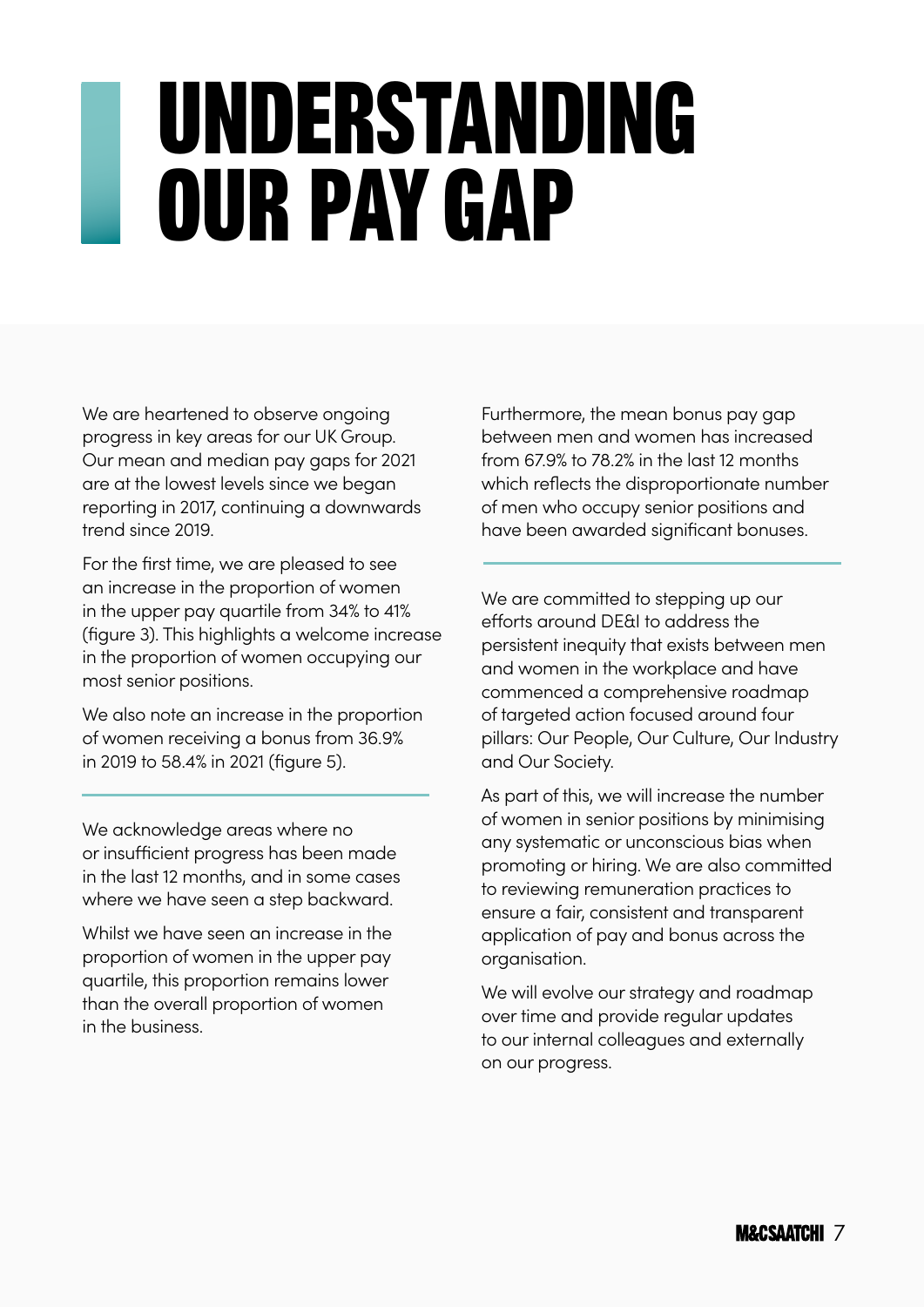## Understanding Our Pay Gap

We are heartened to observe ongoing progress in key areas for our UK Group. Our mean and median pay gaps for 2021 are at the lowest levels since we began reporting in 2017, continuing a downwards trend since 2019.

For the first time, we are pleased to see an increase in the proportion of women in the upper pay quartile from 34% to 41% (figure 3). This highlights a welcome increase in the proportion of women occupying our most senior positions.

We also note an increase in the proportion of women receiving a bonus from 36.9% in 2019 to 58.4% in 2021 (figure 5).

We acknowledge areas where no or insufficient progress has been made in the last 12 months, and in some cases where we have seen a step backward.

Whilst we have seen an increase in the proportion of women in the upper pay quartile, this proportion remains lower than the overall proportion of women in the business.

Furthermore, the mean bonus pay gap between men and women has increasedfrom 67.9% to 78.2% in the last 12 months which reflects the disproportionate number of men who occupy senior positions and have been awarded significant bonuses.

We are committed to stepping up our efforts around DE&I to address the persistent inequity that exists between men and women in the workplace and have commenced a comprehensive roadmap of targeted action focused around four pillars: Our People, Our Culture, Our Industry and Our Society.

As part of this, we will increase the number of women in senior positions by minimising any systematic or unconscious bias when promoting or hiring. We are also committed to reviewing remuneration practices to ensure a fair, consistent and transparent application of pay and bonus across the organisation.

We will evolve our strategy and roadmap over time and provide regular updates to our internal colleagues and externally on our progress.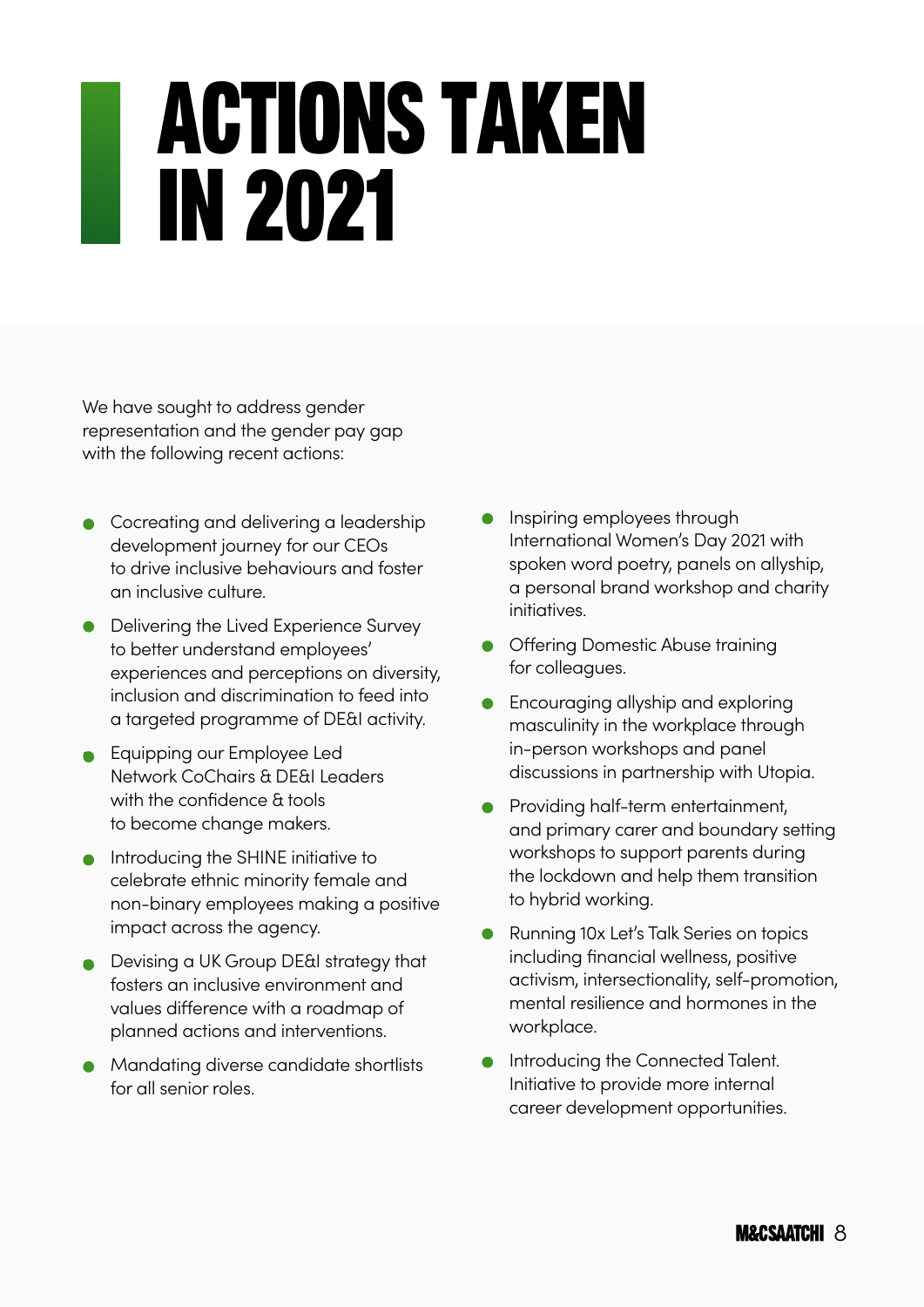## Actions Taken in 2021

We have sought to address gender representation and the gender pay gap with the following recent actions:

- Cocreating and delivering a leadership development journey for our CEOs to drive inclusive behaviours and foster an inclusive culture.
- **•** Delivering the Lived Experience Survey to better understand employees' experiences and perceptions on diversity, inclusion and discrimination to feed intoa targeted programme of DE&I activity.
- **•** Equipping our Employee Led Network CoChairs & DE&I Leaders with the confidence & tools to become change makers.
- Introducing the SHINE initiative to celebrate ethnic minority female and non-binary employees making a positive impact across the agency.
- Devising a UK Group DE&I strategy that fosters an inclusive environment and values difference with a roadmap of planned actions and interventions.
- Mandating diverse candidate shortlists for all senior roles.
- Inspiring employees through International Women's Day 2021 with spoken word poetry, panels on allyship, a personal brand workshop and charity initiatives.
- **•** Offering Domestic Abuse training for colleagues.
- **•** Encouraging allyship and exploring masculinity in the workplace through in-person workshops and panel discussions in partnership with Utopia.
- **•** Providing half-term entertainment, and primary carer and boundary setting workshops to support parents during the lockdown and help them transition to hybrid working.
- **•** Running 10x Let's Talk Series on topics including financial wellness, positive activism, intersectionality, self-promotion, mental resilience and hormones in the workplace.
- **•** Introducing the Connected Talent. Initiative to provide more internal career development opportunities.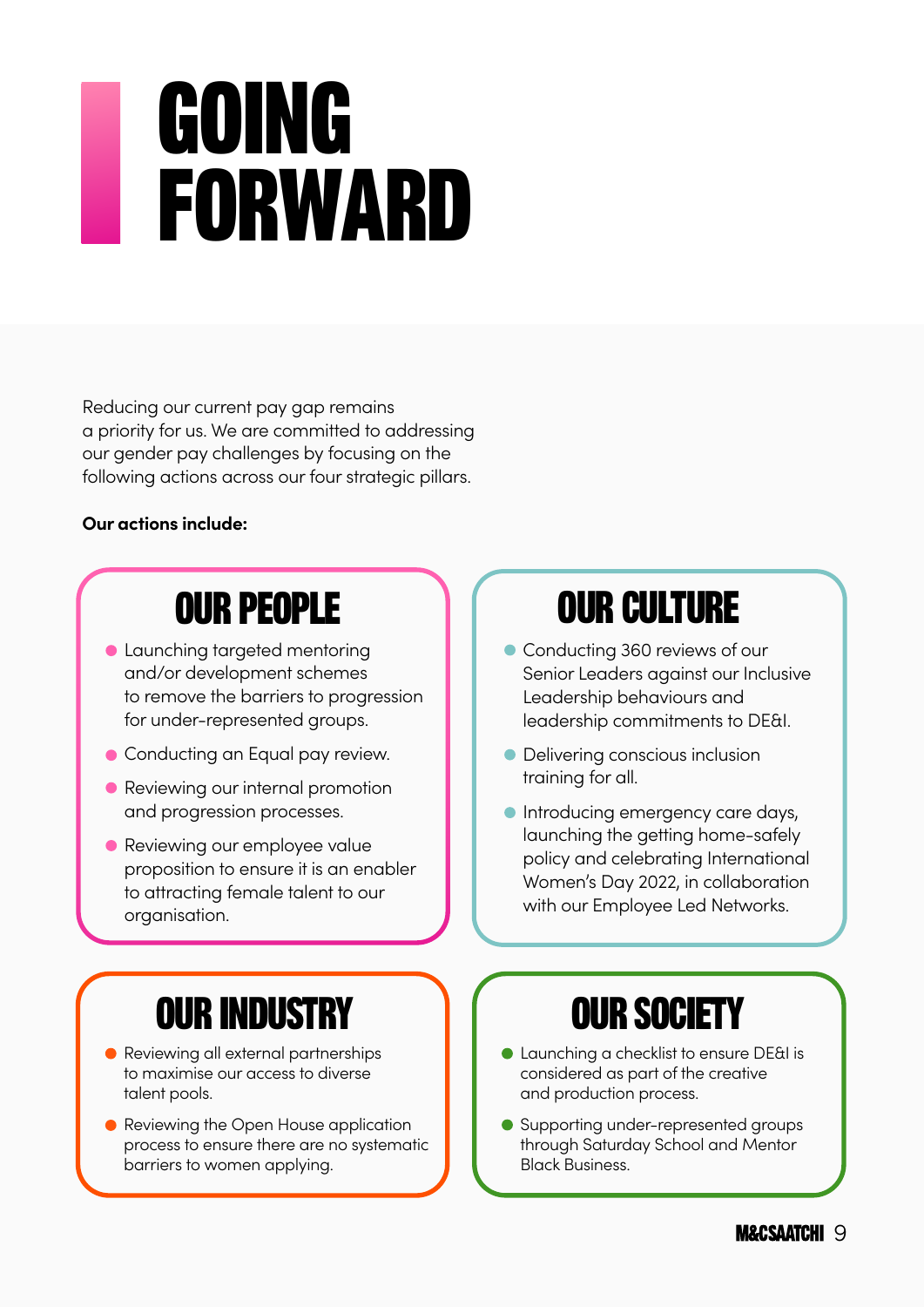## **GOING FORWARD**

Reducing our current pay gap remains a priority for us. We are committed to addressing our gender pay challenges by focusing on the following actions across our four strategic pillars.

#### **Our actions include:**

#### OUR PEOPLE

- **Launching targeted mentoring** and/or development schemes to remove the barriers to progression for under-represented groups.
- **Conducting an Equal pay review.**
- **Reviewing our internal promotion** and progression processes.
- **•** Reviewing our employee value proposition to ensure it is an enabler to attracting female talent to our organisation.

#### OUR INDUSTRY

- Reviewing all external partnerships to maximise our access to diverse talent pools.
- Reviewing the Open House application process to ensure there are no systematic barriers to women applying.

#### OUR CULTURE

- Conducting 360 reviews of our Senior Leaders against our Inclusive Leadership behaviours and leadership commitments to DE&I.
- **•** Delivering conscious inclusion training for all.
- **Introducing emergency care days,** launching the getting home-safely policy and celebrating International Women's Day 2022, in collaboration with our Employee Led Networks.

#### OUR SOCIETY

- Launching a checklist to ensure DE&I is considered as part of the creative and production process.
- Supporting under-represented groups through Saturday School and Mentor Black Business.